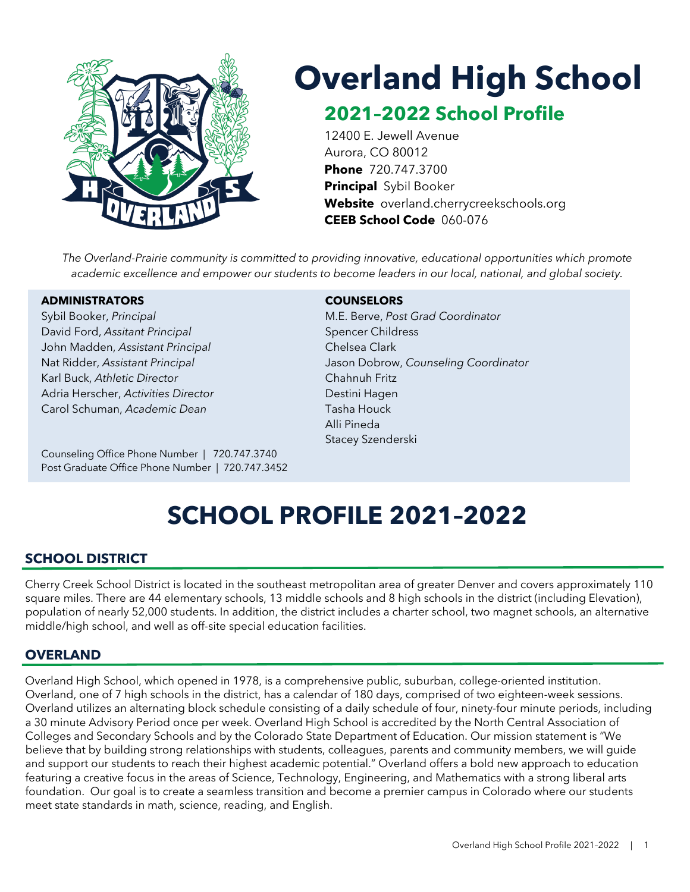

# **Overland High School**

## **2021–2022 School Profile**

12400 E. Jewell Avenue Aurora, CO 80012 **Phone** 720.747.3700 **Principal** Sybil Booker **Website** overland.cherrycreekschools.org **CEEB School Code** 060-076

*The Overland-Prairie community is committed to providing innovative, educational opportunities which promote academic excellence and empower our students to become leaders in our local, national, and global society.*

#### **ADMINISTRATORS COUNSELORS**

David Ford, *Assitant Principal* Spencer Childress John Madden, *Assistant Principal* Chelsea Clark Karl Buck, *Athletic Director* Chahnuh Fritz Adria Herscher, *Activities Director* **Digeography** Destini Hagen Carol Schuman, *Academic Dean* Tasha Houck

Counseling Office Phone Number | 720.747.3740 Post Graduate Office Phone Number | 720.747.3452

Sybil Booker, *Principal* M.E. Berve, *Post Grad Coordinator* Nat Ridder, *Assistant Principal* Jason Dobrow, *Counseling Coordinator* Alli Pineda Stacey Szenderski

## **SCHOOL PROFILE 2021–2022**

### **SCHOOL DISTRICT**

Cherry Creek School District is located in the southeast metropolitan area of greater Denver and covers approximately 110 square miles. There are 44 elementary schools, 13 middle schools and 8 high schools in the district (including Elevation), population of nearly 52,000 students. In addition, the district includes a charter school, two magnet schools, an alternative middle/high school, and well as off-site special education facilities.

### **OVERLAND**

Overland High School, which opened in 1978, is a comprehensive public, suburban, college-oriented institution. Overland, one of 7 high schools in the district, has a calendar of 180 days, comprised of two eighteen-week sessions. Overland utilizes an alternating block schedule consisting of a daily schedule of four, ninety-four minute periods, including a 30 minute Advisory Period once per week. Overland High School is accredited by the North Central Association of Colleges and Secondary Schools and by the Colorado State Department of Education. Our mission statement is "We believe that by building strong relationships with students, colleagues, parents and community members, we will guide and support our students to reach their highest academic potential." Overland offers a bold new approach to education featuring a creative focus in the areas of Science, Technology, Engineering, and Mathematics with a strong liberal arts foundation. Our goal is to create a seamless transition and become a premier campus in Colorado where our students meet state standards in math, science, reading, and English.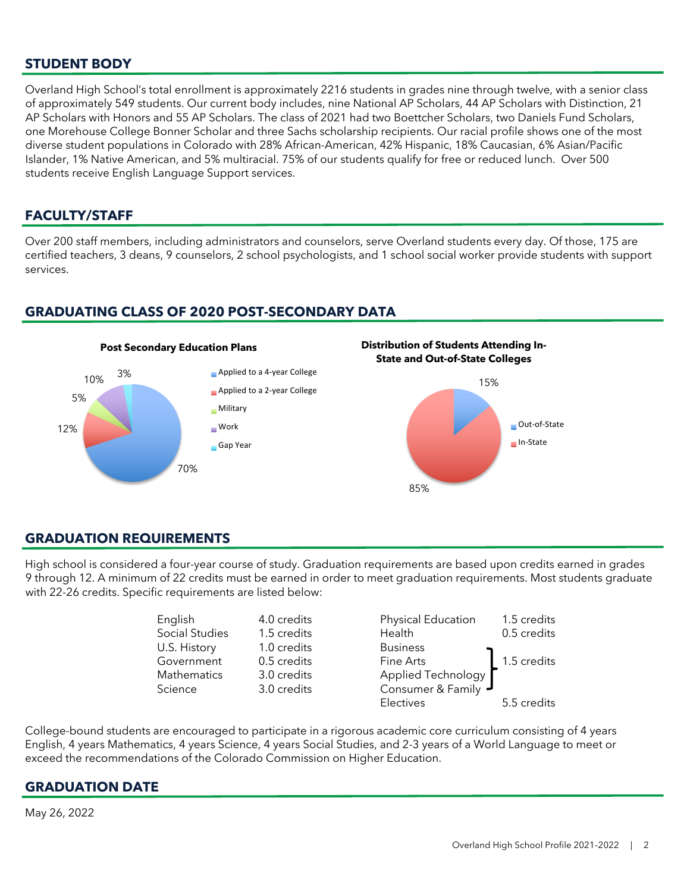#### **STUDENT BODY**

Overland High School's total enrollment is approximately 2216 students in grades nine through twelve, with a senior class of approximately 549 students. Our current body includes, nine National AP Scholars, 44 AP Scholars with Distinction, 21 AP Scholars with Honors and 55 AP Scholars. The class of 2021 had two Boettcher Scholars, two Daniels Fund Scholars, one Morehouse College Bonner Scholar and three Sachs scholarship recipients. Our racial profile shows one of the most diverse student populations in Colorado with 28% African-American, 42% Hispanic, 18% Caucasian, 6% Asian/Pacific Islander, 1% Native American, and 5% multiracial. 75% of our students qualify for free or reduced lunch. Over 500 students receive English Language Support services.

#### **FACULTY/STAFF**

Over 200 staff members, including administrators and counselors, serve Overland students every day. Of those, 175 are certified teachers, 3 deans, 9 counselors, 2 school psychologists, and 1 school social worker provide students with support services.

#### **GRADUATING CLASS OF 2020 POST-SECONDARY DATA**



**Distribution of Students Attending In-State and Out-of-State Colleges**



#### **GRADUATION REQUIREMENTS**

High school is considered a four-year course of study. Graduation requirements are based upon credits earned in grades 9 through 12. A minimum of 22 credits must be earned in order to meet graduation requirements. Most students graduate with 22-26 credits. Specific requirements are listed below:

| English        | 4.0 credits | Physical Education  | 1.5 credits |
|----------------|-------------|---------------------|-------------|
| Social Studies | 1.5 credits | Health              | 0.5 credits |
| U.S. History   | 1.0 credits | <b>Business</b>     |             |
| Government     | 0.5 credits | Fine Arts           | 1.5 credits |
| Mathematics    | 3.0 credits | Applied Technology  |             |
| Science        | 3.0 credits | Consumer & Family J |             |
|                |             | <b>Flectives</b>    | 5.5 credits |

College-bound students are encouraged to participate in a rigorous academic core curriculum consisting of 4 years English, 4 years Mathematics, 4 years Science, 4 years Social Studies, and 2-3 years of a World Language to meet or exceed the recommendations of the Colorado Commission on Higher Education.

#### **GRADUATION DATE**

May 26, 2022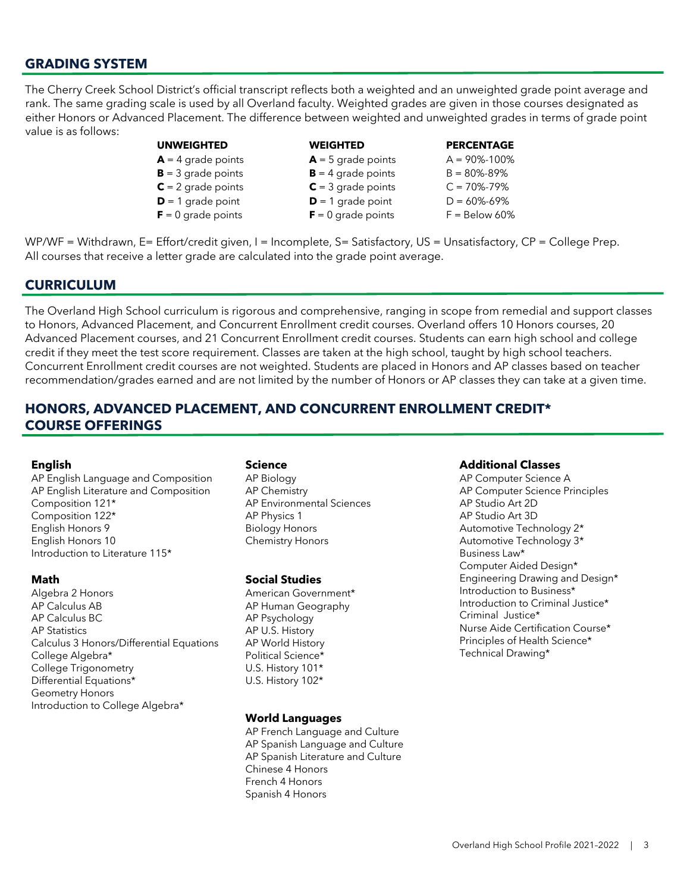#### **GRADING SYSTEM**

The Cherry Creek School District's official transcript reflects both a weighted and an unweighted grade point average and rank. The same grading scale is used by all Overland faculty. Weighted grades are given in those courses designated as either Honors or Advanced Placement. The difference between weighted and unweighted grades in terms of grade point value is as follows:

#### **UNWEIGHTED WEIGHTED PERCENTAGE**

- $\mathbf{B} = 3$  grade points  $\mathbf{B} = 4$  grade points  $\mathbf{B} = 80\% 89\%$  $C = 2$  grade points  $C = 3$  grade points  $C = 70\% - 79\%$
- $D = 1$  grade point  $D = 1$  grade point  $D = 60\% 69\%$
- $F = 0$  grade points  $F = 0$  grade points  $F = 8$ elow 60%
- 

 $A = 4$  grade points  $A = 5$  grade points  $A = 90\% - 100\%$ 

WP/WF = Withdrawn, E= Effort/credit given, I = Incomplete, S= Satisfactory, US = Unsatisfactory, CP = College Prep. All courses that receive a letter grade are calculated into the grade point average.

#### **CURRICULUM**

The Overland High School curriculum is rigorous and comprehensive, ranging in scope from remedial and support classes to Honors, Advanced Placement, and Concurrent Enrollment credit courses. Overland offers 10 Honors courses, 20 Advanced Placement courses, and 21 Concurrent Enrollment credit courses. Students can earn high school and college credit if they meet the test score requirement. Classes are taken at the high school, taught by high school teachers. Concurrent Enrollment credit courses are not weighted. Students are placed in Honors and AP classes based on teacher recommendation/grades earned and are not limited by the number of Honors or AP classes they can take at a given time.

#### **HONORS, ADVANCED PLACEMENT, AND CONCURRENT ENROLLMENT CREDIT\* COURSE OFFERINGS**

#### **English**

AP English Language and Composition AP English Literature and Composition Composition 121\* Composition 122\* English Honors 9 English Honors 10 Introduction to Literature 115\*

#### **Math**

Algebra 2 Honors AP Calculus AB AP Calculus BC AP Statistics Calculus 3 Honors/Differential Equations College Algebra\* College Trigonometry Differential Equations\* Geometry Honors Introduction to College Algebra\*

#### **Science**

AP Biology AP Chemistry AP Environmental Sciences AP Physics 1 Biology Honors Chemistry Honors

#### **Social Studies**

American Government\* AP Human Geography AP Psychology AP U.S. History AP World History Political Science\* U.S. History 101\* U.S. History 102\*

#### **World Languages**

AP French Language and Culture AP Spanish Language and Culture AP Spanish Literature and Culture Chinese 4 Honors French 4 Honors Spanish 4 Honors

#### **Additional Classes**

AP Computer Science A AP Computer Science Principles AP Studio Art 2D AP Studio Art 3D Automotive Technology 2\* Automotive Technology 3\* Business Law\* Computer Aided Design\* Engineering Drawing and Design\* Introduction to Business\* Introduction to Criminal Justice\* Criminal Justice\* Nurse Aide Certification Course\* Principles of Health Science\* Technical Drawing\*